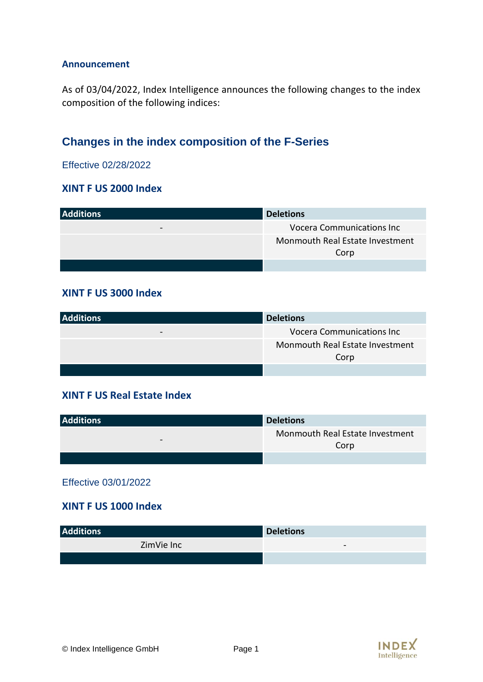#### **Announcement**

As of 03/04/2022, Index Intelligence announces the following changes to the index composition of the following indices:

# **Changes in the index composition of the F-Series**

Effective 02/28/2022

#### **XINT F US 2000 Index**

| <b>Additions</b> | <b>Deletions</b>                        |
|------------------|-----------------------------------------|
|                  | <b>Vocera Communications Inc</b>        |
|                  | Monmouth Real Estate Investment<br>Corp |
|                  |                                         |

#### **XINT F US 3000 Index**

| <b>Additions</b> | <b>Deletions</b>                  |
|------------------|-----------------------------------|
| $\qquad \qquad$  | <b>Vocera Communications Inc.</b> |
|                  | Monmouth Real Estate Investment   |
|                  | Corp                              |
|                  |                                   |

#### **XINT F US Real Estate Index**

| <b>Additions</b>         | <b>Deletions</b>                        |
|--------------------------|-----------------------------------------|
| $\overline{\phantom{0}}$ | Monmouth Real Estate Investment<br>Corp |
|                          |                                         |

Effective 03/01/2022

#### **XINT F US 1000 Index**

| <b>Additions</b> | <b>Deletions</b>         |
|------------------|--------------------------|
| ZimVie Inc       | $\overline{\phantom{0}}$ |
|                  |                          |

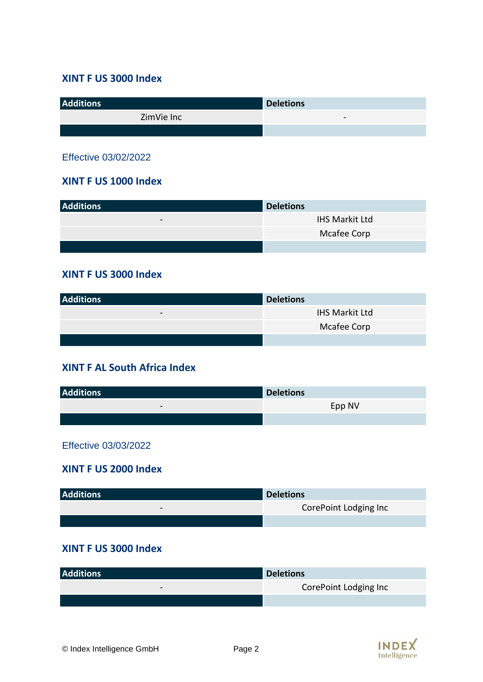#### **XINT F US 3000 Index**

| <b>Additions</b> | <b>Deletions</b>         |
|------------------|--------------------------|
| ZimVie Inc       | $\overline{\phantom{0}}$ |
|                  |                          |

Effective 03/02/2022

#### **XINT F US 1000 Index**

| <b>Additions</b>         | <b>Deletions</b>      |
|--------------------------|-----------------------|
| $\overline{\phantom{0}}$ | <b>IHS Markit Ltd</b> |
|                          | Mcafee Corp           |
|                          |                       |

#### **XINT F US 3000 Index**

| <b>Additions</b>         | <b>Deletions</b>      |
|--------------------------|-----------------------|
| $\overline{\phantom{0}}$ | <b>IHS Markit Ltd</b> |
|                          | Mcafee Corp           |
|                          |                       |

### **XINT F AL South Africa Index**

| <b>Additions</b>         | <b>Deletions</b> |
|--------------------------|------------------|
| $\overline{\phantom{0}}$ | Epp NV           |
|                          |                  |

Effective 03/03/2022

#### **XINT F US 2000 Index**

| <b>Additions</b> | <b>Deletions</b>      |
|------------------|-----------------------|
| $\qquad \qquad$  | CorePoint Lodging Inc |
|                  |                       |

### **XINT F US 3000 Index**

| <b>Additions</b> | <b>Deletions</b>      |
|------------------|-----------------------|
| $\qquad \qquad$  | CorePoint Lodging Inc |
|                  |                       |

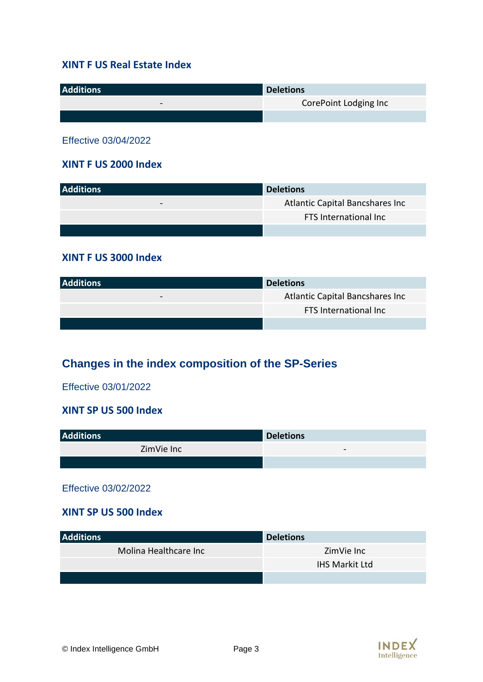#### **XINT F US Real Estate Index**

| <b>Additions</b> | <b>Deletions</b>      |
|------------------|-----------------------|
| $\qquad \qquad$  | CorePoint Lodging Inc |
|                  |                       |

Effective 03/04/2022

#### **XINT F US 2000 Index**

| <b>Additions</b>         | <b>Deletions</b>                |
|--------------------------|---------------------------------|
| $\overline{\phantom{0}}$ | Atlantic Capital Bancshares Inc |
|                          | <b>FTS International Inc</b>    |
|                          |                                 |

#### **XINT F US 3000 Index**

| <b>Additions</b> | <b>Deletions</b>                |
|------------------|---------------------------------|
| $\qquad \qquad$  | Atlantic Capital Bancshares Inc |
|                  | FTS International Inc           |
|                  |                                 |

# **Changes in the index composition of the SP-Series**

Effective 03/01/2022

#### **XINT SP US 500 Index**

| <b>Additions</b> | <b>Deletions</b> |
|------------------|------------------|
| ZimVie Inc       | -                |
|                  |                  |

#### Effective 03/02/2022

#### **XINT SP US 500 Index**

| <b>Additions</b>      | <b>Deletions</b>      |
|-----------------------|-----------------------|
| Molina Healthcare Inc | ZimVie Inc            |
|                       | <b>IHS Markit Ltd</b> |
|                       |                       |

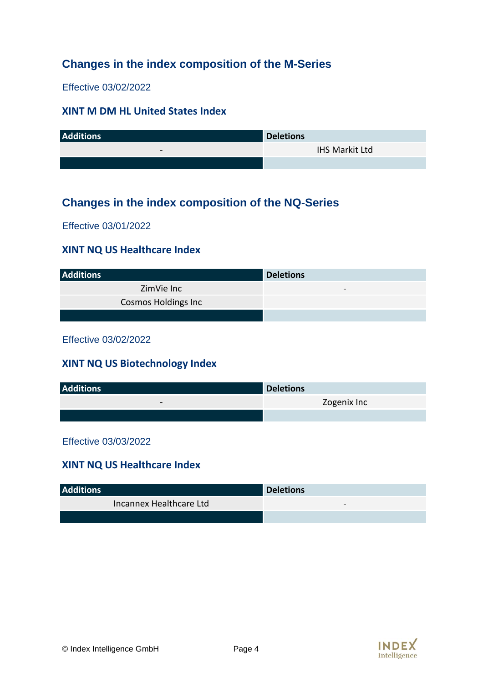## **Changes in the index composition of the M-Series**

Effective 03/02/2022

#### **XINT M DM HL United States Index**

| <b>Additions</b> | <b>Deletions</b>      |
|------------------|-----------------------|
| $\qquad \qquad$  | <b>IHS Markit Ltd</b> |
|                  |                       |

## **Changes in the index composition of the NQ-Series**

Effective 03/01/2022

#### **XINT NQ US Healthcare Index**

| <b>Additions</b>           | <b>Deletions</b>         |
|----------------------------|--------------------------|
| ZimVie Inc                 | $\overline{\phantom{0}}$ |
| <b>Cosmos Holdings Inc</b> |                          |
|                            |                          |

Effective 03/02/2022

#### **XINT NQ US Biotechnology Index**

| <b>Additions</b> | <b>Deletions</b> |
|------------------|------------------|
| $\qquad \qquad$  | Zogenix Inc      |
|                  |                  |

#### Effective 03/03/2022

#### **XINT NQ US Healthcare Index**

| <b>Additions</b>        | <b>Deletions</b> |
|-------------------------|------------------|
| Incannex Healthcare Ltd | -                |
|                         |                  |